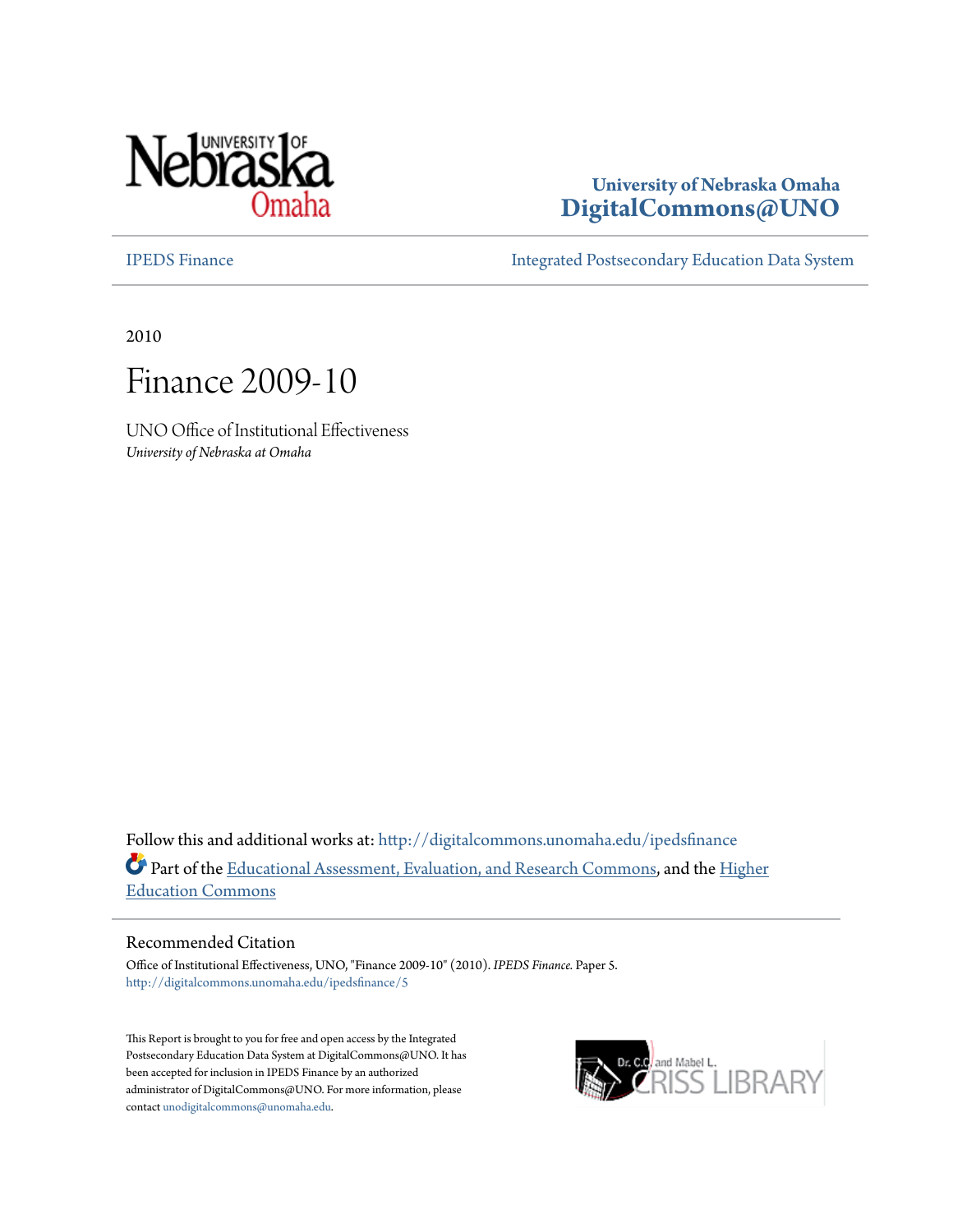

# **University of Nebraska Omaha [DigitalCommons@UNO](http://digitalcommons.unomaha.edu?utm_source=digitalcommons.unomaha.edu%2Fipedsfinance%2F5&utm_medium=PDF&utm_campaign=PDFCoverPages)**

[IPEDS Finance](http://digitalcommons.unomaha.edu/ipedsfinance?utm_source=digitalcommons.unomaha.edu%2Fipedsfinance%2F5&utm_medium=PDF&utm_campaign=PDFCoverPages) [Integrated Postsecondary Education Data System](http://digitalcommons.unomaha.edu/oieipeds?utm_source=digitalcommons.unomaha.edu%2Fipedsfinance%2F5&utm_medium=PDF&utm_campaign=PDFCoverPages)

2010

# Finance 2009-10

UNO Office of Institutional Effectiveness *University of Nebraska at Omaha*

Follow this and additional works at: [http://digitalcommons.unomaha.edu/ipedsfinance](http://digitalcommons.unomaha.edu/ipedsfinance?utm_source=digitalcommons.unomaha.edu%2Fipedsfinance%2F5&utm_medium=PDF&utm_campaign=PDFCoverPages) Part of the [Educational Assessment, Evaluation, and Research Commons,](http://network.bepress.com/hgg/discipline/796?utm_source=digitalcommons.unomaha.edu%2Fipedsfinance%2F5&utm_medium=PDF&utm_campaign=PDFCoverPages) and the [Higher](http://network.bepress.com/hgg/discipline/1245?utm_source=digitalcommons.unomaha.edu%2Fipedsfinance%2F5&utm_medium=PDF&utm_campaign=PDFCoverPages) [Education Commons](http://network.bepress.com/hgg/discipline/1245?utm_source=digitalcommons.unomaha.edu%2Fipedsfinance%2F5&utm_medium=PDF&utm_campaign=PDFCoverPages)

#### Recommended Citation

Office of Institutional Effectiveness, UNO, "Finance 2009-10" (2010). *IPEDS Finance.* Paper 5. [http://digitalcommons.unomaha.edu/ipedsfinance/5](http://digitalcommons.unomaha.edu/ipedsfinance/5?utm_source=digitalcommons.unomaha.edu%2Fipedsfinance%2F5&utm_medium=PDF&utm_campaign=PDFCoverPages)

This Report is brought to you for free and open access by the Integrated Postsecondary Education Data System at DigitalCommons@UNO. It has been accepted for inclusion in IPEDS Finance by an authorized administrator of DigitalCommons@UNO. For more information, please contact [unodigitalcommons@unomaha.edu.](mailto:unodigitalcommons@unomaha.edu)

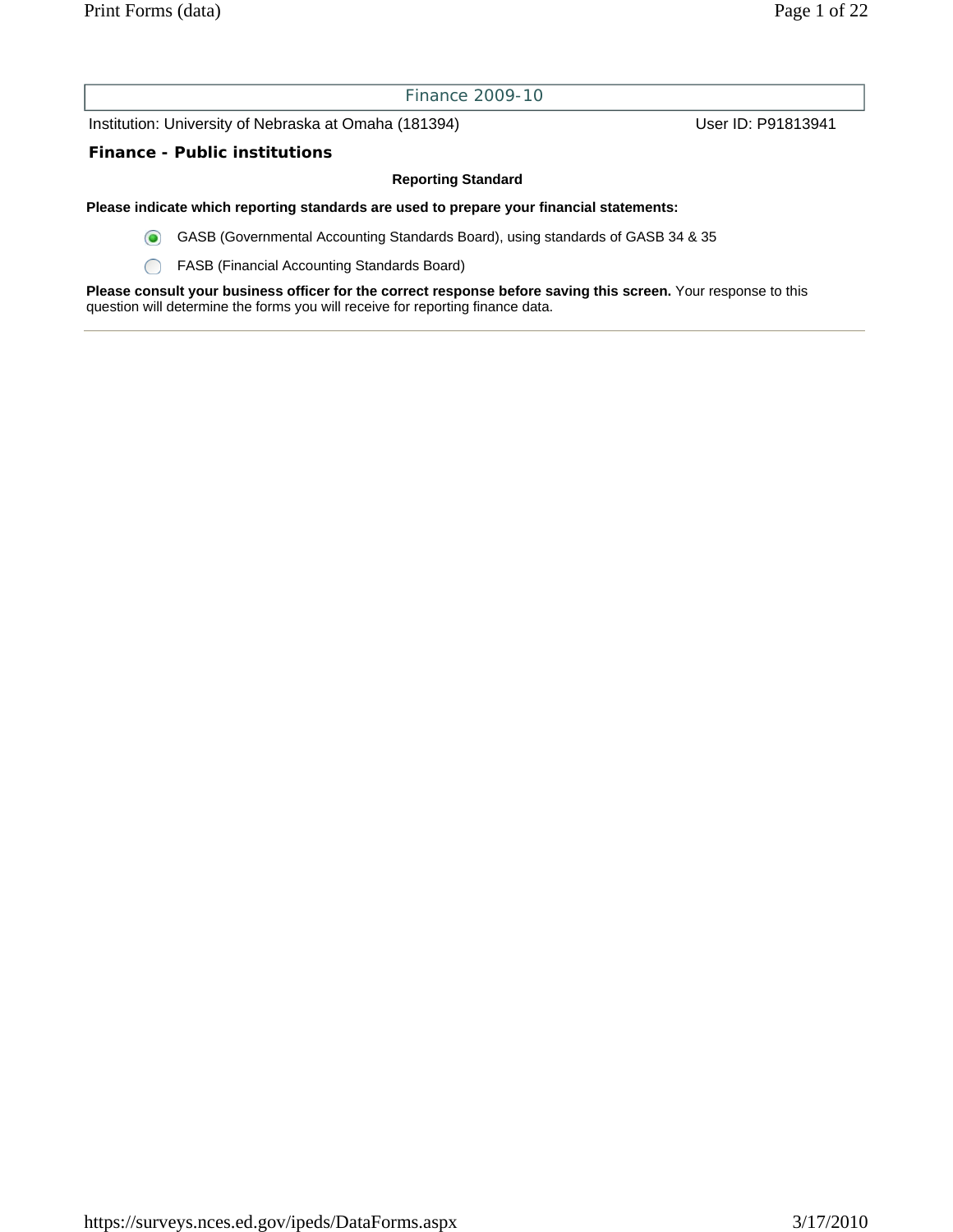#### Finance 2009-10

Institution: University of Nebraska at Omaha (181394) User ID: P91813941

#### **Finance - Public institutions**

#### **Reporting Standard**

#### **Please indicate which reporting standards are used to prepare your financial statements:**

GASB (Governmental Accounting Standards Board), using standards of GASB 34 & 35

**C** FASB (Financial Accounting Standards Board)

**Please consult your business officer for the correct response before saving this screen.** Your response to this question will determine the forms you will receive for reporting finance data.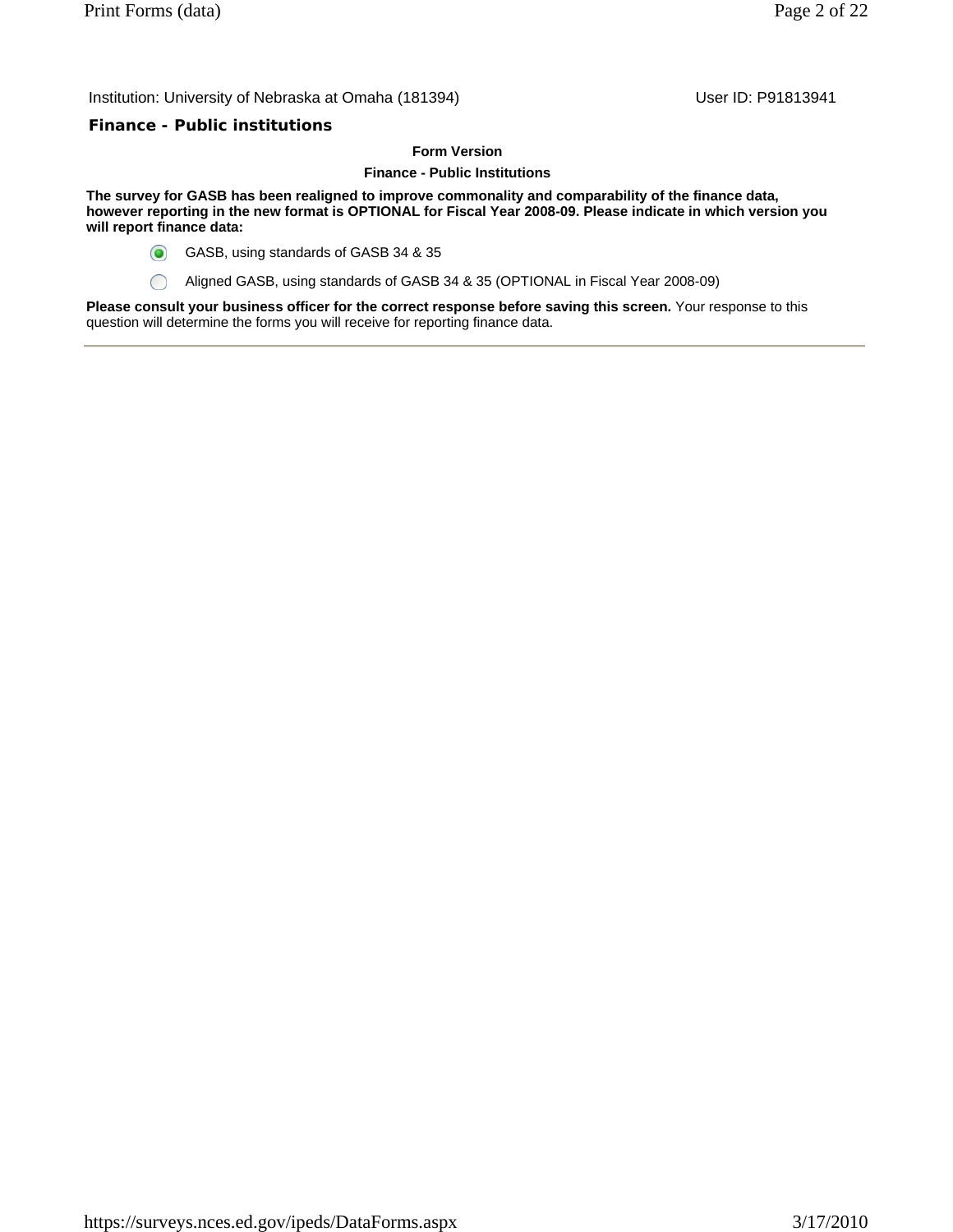#### **Finance - Public institutions**

# **Form Version**

### **Finance - Public Institutions**

**The survey for GASB has been realigned to improve commonality and comparability of the finance data, however reporting in the new format is OPTIONAL for Fiscal Year 2008-09. Please indicate in which version you will report finance data:**

- GASB, using standards of GASB 34 & 35
- Aligned GASB, using standards of GASB 34 & 35 (OPTIONAL in Fiscal Year 2008-09) ◯

**Please consult your business officer for the correct response before saving this screen.** Your response to this question will determine the forms you will receive for reporting finance data.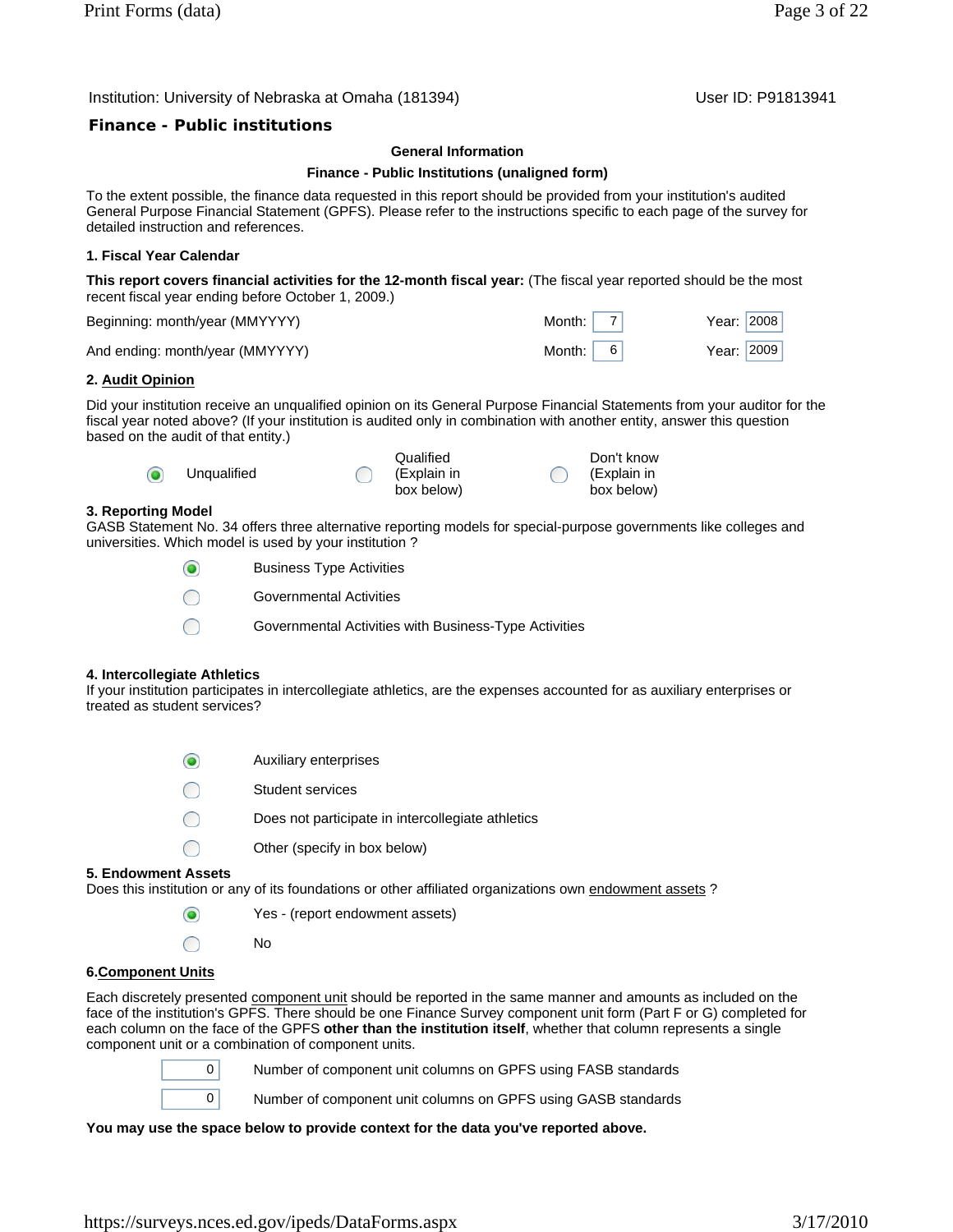# **Finance - Public institutions**

#### **General Information**

#### **Finance - Public Institutions (unaligned form)**

To the extent possible, the finance data requested in this report should be provided from your institution's audited General Purpose Financial Statement (GPFS). Please refer to the instructions specific to each page of the survey for detailed instruction and references.

#### **1. Fiscal Year Calendar**

**This report covers financial activities for the 12-month fiscal year:** (The fiscal year reported should be the most recent fiscal year ending before October 1, 2009.)

Beginning: month/year (MMYYYY) Month: 7 Month: 7 Year: 2008

| And ending: month/year (MMYYYY)<br>Month: 6 |  | Year: $\vert$ | 2009 |
|---------------------------------------------|--|---------------|------|
|---------------------------------------------|--|---------------|------|

# **2. Audit Opinion**

Did your institution receive an unqualified opinion on its General Purpose Financial Statements from your auditor for the fiscal year noted above? (If your institution is audited only in combination with another entity, answer this question based on the audit of that entity.)

| Ungualified | Qualified<br>(Explain in<br>box below) |  | Don't know<br>(Explain in<br>box below) |
|-------------|----------------------------------------|--|-----------------------------------------|
|             |                                        |  |                                         |

### **3. Reporting Model**

GASB Statement No. 34 offers three alternative reporting models for special-purpose governments like colleges and universities. Which model is used by your institution ?

| <b>Business Type Activities</b>                       |
|-------------------------------------------------------|
| <b>Governmental Activities</b>                        |
| Governmental Activities with Business-Type Activities |
|                                                       |

#### **4. Intercollegiate Athletics**

If your institution participates in intercollegiate athletics, are the expenses accounted for as auxiliary enterprises or treated as student services?

- **C** Auxiliary enterprises
- **Student services**
- O Does not participate in intercollegiate athletics

Other (specify in box below)

### **5. Endowment Assets**

Does this institution or any of its foundations or other affiliated organizations own endowment assets ?

- Yes (report endowment assets)
	- No

# **6.Component Units**

Each discretely presented component unit should be reported in the same manner and amounts as included on the face of the institution's GPFS. There should be one Finance Survey component unit form (Part F or G) completed for each column on the face of the GPFS **other than the institution itself**, whether that column represents a single component unit or a combination of component units.



∩

0 Number of component unit columns on GPFS using FASB standards

0 Number of component unit columns on GPFS using GASB standards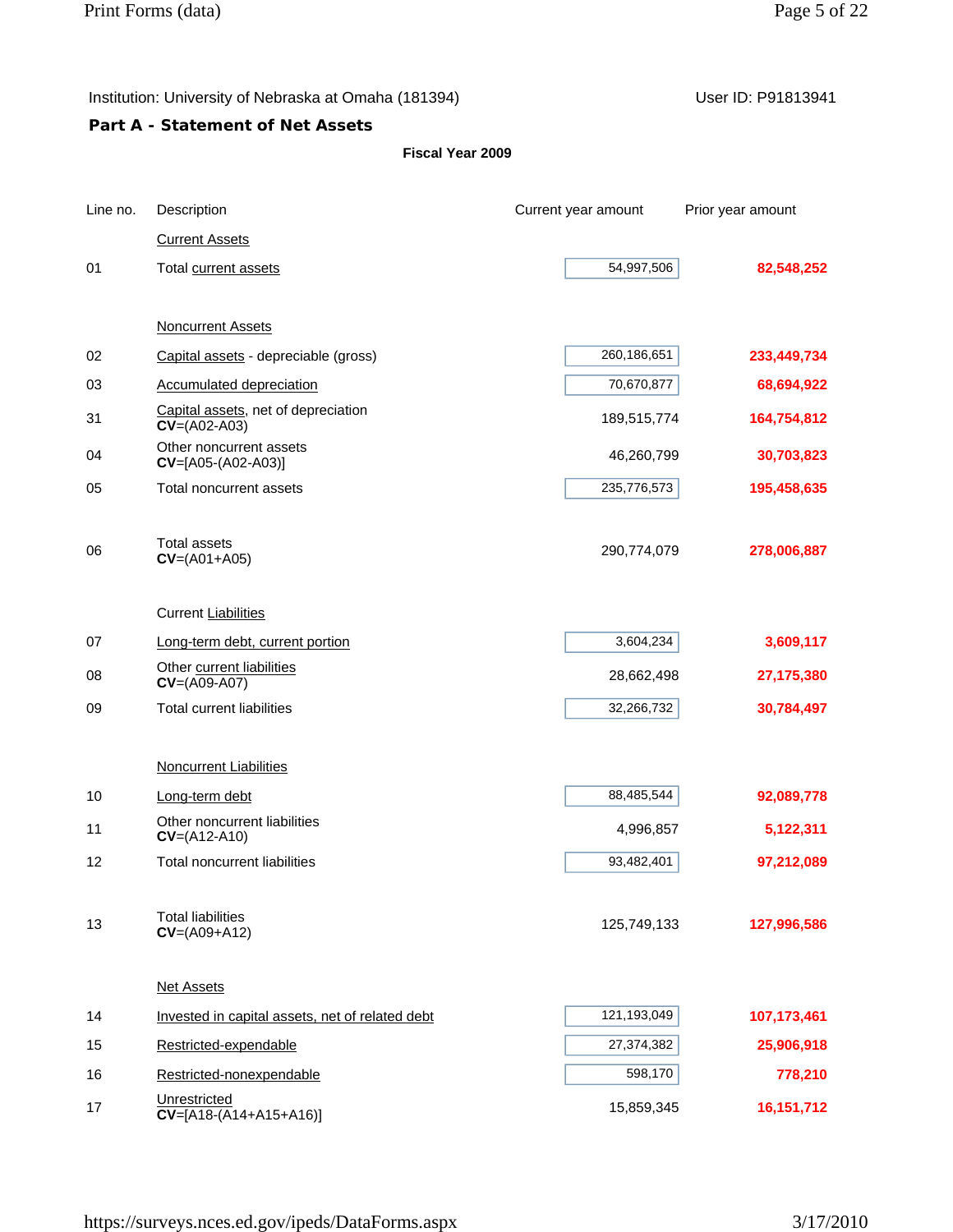# **Part A - Statement of Net Assets**

**Fiscal Year 2009**

| Line no. | Description                                           | Current year amount | Prior year amount |
|----------|-------------------------------------------------------|---------------------|-------------------|
|          | <b>Current Assets</b>                                 |                     |                   |
| 01       | Total current assets                                  | 54,997,506          | 82,548,252        |
|          | <b>Noncurrent Assets</b>                              |                     |                   |
| 02       | Capital assets - depreciable (gross)                  | 260,186,651         | 233,449,734       |
| 03       | <b>Accumulated depreciation</b>                       | 70,670,877          | 68,694,922        |
| 31       | Capital assets, net of depreciation<br>$CV=(AO2-AO3)$ | 189,515,774         | 164,754,812       |
| 04       | Other noncurrent assets<br>$CV=[A05-(A02-A03)]$       | 46,260,799          | 30,703,823        |
| 05       | Total noncurrent assets                               | 235,776,573         | 195,458,635       |
| 06       | <b>Total assets</b><br>$CV=(A01+A05)$                 | 290,774,079         | 278,006,887       |
|          | <b>Current Liabilities</b>                            |                     |                   |
| 07       | Long-term debt, current portion                       | 3,604,234           | 3,609,117         |
| 08       | Other current liabilities<br>$CV=(A09-A07)$           | 28,662,498          | 27,175,380        |
| 09       | <b>Total current liabilities</b>                      | 32,266,732          | 30,784,497        |
|          | <b>Noncurrent Liabilities</b>                         |                     |                   |
| 10       | Long-term debt                                        | 88,485,544          | 92,089,778        |
| 11       | Other noncurrent liabilities<br>$CV=(A12-A10)$        | 4,996,857           | 5,122,311         |
| 12       | <b>Total noncurrent liabilities</b>                   | 93,482,401          | 97,212,089        |
| 13       | <b>Total liabilities</b><br>$CV=(A09+A12)$            | 125,749,133         | 127,996,586       |
|          | <b>Net Assets</b>                                     |                     |                   |
| 14       | Invested in capital assets, net of related debt       | 121,193,049         | 107,173,461       |
| 15       | Restricted-expendable                                 | 27,374,382          | 25,906,918        |
| 16       | Restricted-nonexpendable                              | 598,170             | 778,210           |
| 17       | Unrestricted<br>$CV=[A18-(A14+A15+A16)]$              | 15,859,345          | 16, 151, 712      |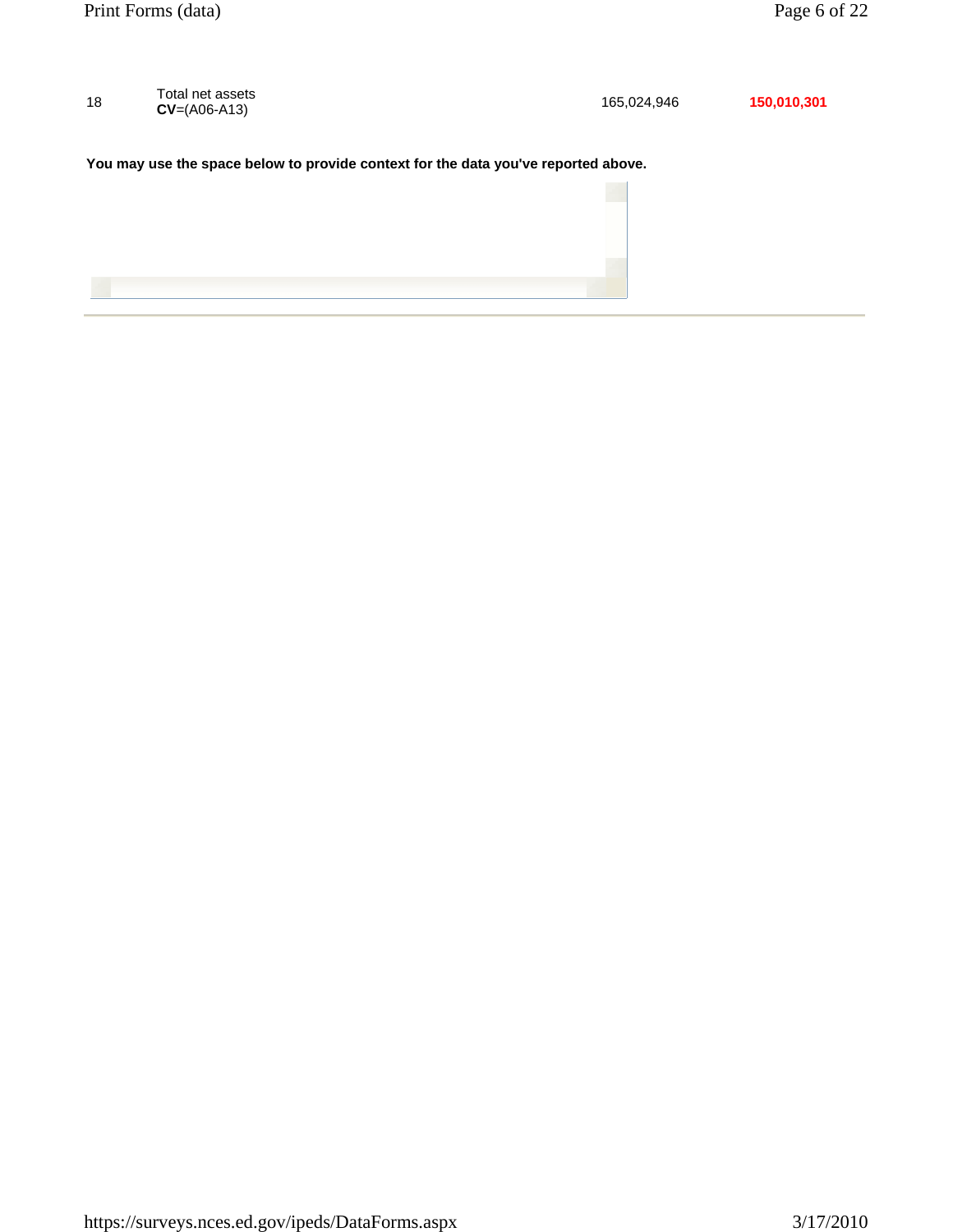| 18 | Total net assets | 165.024.946 | 150,010,301 |
|----|------------------|-------------|-------------|
|    | $CV=(A06-A13)$   |             |             |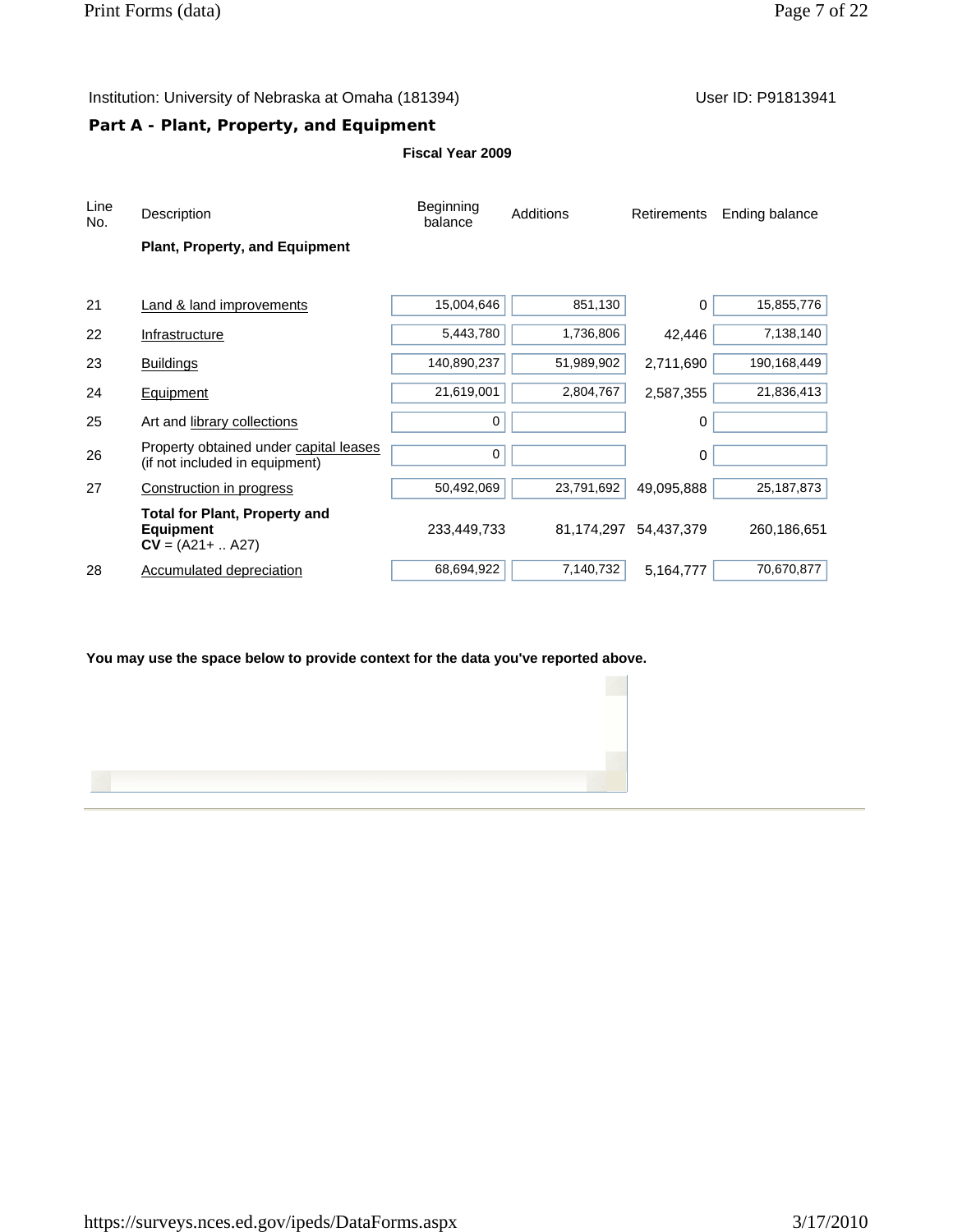#### **Part A - Plant, Property, and Equipment**

**Fiscal Year 2009**

| Line<br>No. | Description                                                                     | Beginning<br>balance | Additions  | <b>Retirements</b> | Ending balance |
|-------------|---------------------------------------------------------------------------------|----------------------|------------|--------------------|----------------|
|             | <b>Plant, Property, and Equipment</b>                                           |                      |            |                    |                |
|             |                                                                                 |                      |            |                    |                |
| 21          | Land & land improvements                                                        | 15,004,646           | 851,130    | 0                  | 15,855,776     |
| 22          | Infrastructure                                                                  | 5,443,780            | 1,736,806  | 42,446             | 7,138,140      |
| 23          | <b>Buildings</b>                                                                | 140,890,237          | 51,989,902 | 2,711,690          | 190,168,449    |
| 24          | <b>Equipment</b>                                                                | 21,619,001           | 2,804,767  | 2,587,355          | 21,836,413     |
| 25          | Art and library collections                                                     | 0                    |            | 0                  |                |
| 26          | Property obtained under capital leases<br>(if not included in equipment)        | 0                    |            | 0                  |                |
| 27          | Construction in progress                                                        | 50,492,069           | 23,791,692 | 49,095,888         | 25, 187, 873   |
|             | <b>Total for Plant, Property and</b><br><b>Equipment</b><br>$CV = (A21 +  A27)$ | 233,449,733          | 81,174,297 | 54,437,379         | 260,186,651    |
| 28          | Accumulated depreciation                                                        | 68,694,922           | 7,140,732  | 5,164,777          | 70,670,877     |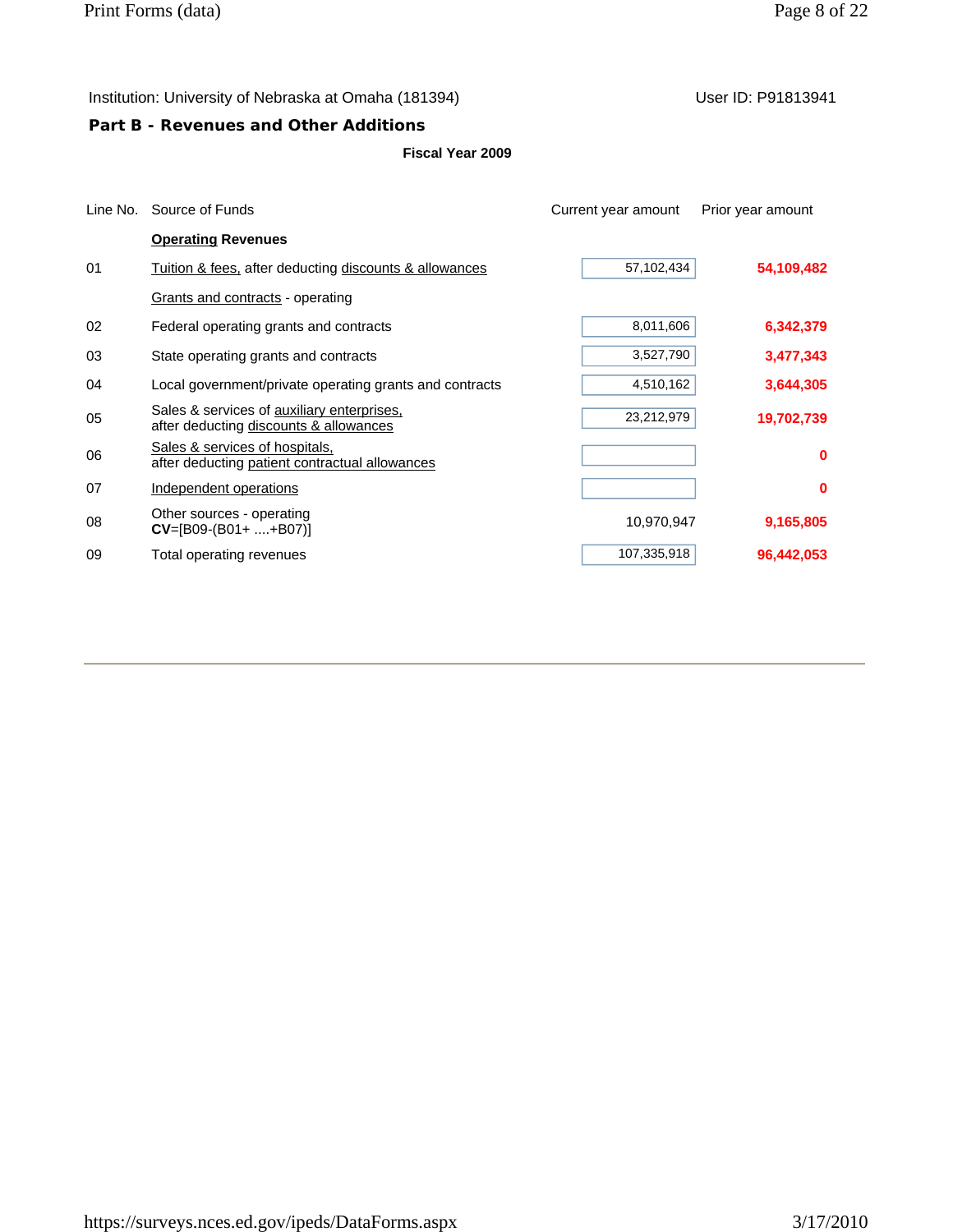# **Part B - Revenues and Other Additions**

#### **Fiscal Year 2009**

|    | Line No. Source of Funds                                                             | Current year amount | Prior year amount |
|----|--------------------------------------------------------------------------------------|---------------------|-------------------|
|    | <b>Operating Revenues</b>                                                            |                     |                   |
| 01 | Tuition & fees, after deducting discounts & allowances                               | 57,102,434          | 54,109,482        |
|    | Grants and contracts - operating                                                     |                     |                   |
| 02 | Federal operating grants and contracts                                               | 8,011,606           | 6,342,379         |
| 03 | State operating grants and contracts                                                 | 3,527,790           | 3,477,343         |
| 04 | Local government/private operating grants and contracts                              | 4,510,162           | 3,644,305         |
| 05 | Sales & services of auxiliary enterprises,<br>after deducting discounts & allowances | 23,212,979          | 19,702,739        |
| 06 | Sales & services of hospitals,<br>after deducting patient contractual allowances     |                     | $\mathbf{0}$      |
| 07 | Independent operations                                                               |                     | $\bf{0}$          |
| 08 | Other sources - operating<br>$CV=[B09-(B01+ \dots + B07)]$                           | 10,970,947          | 9,165,805         |
| 09 | Total operating revenues                                                             | 107,335,918         | 96,442,053        |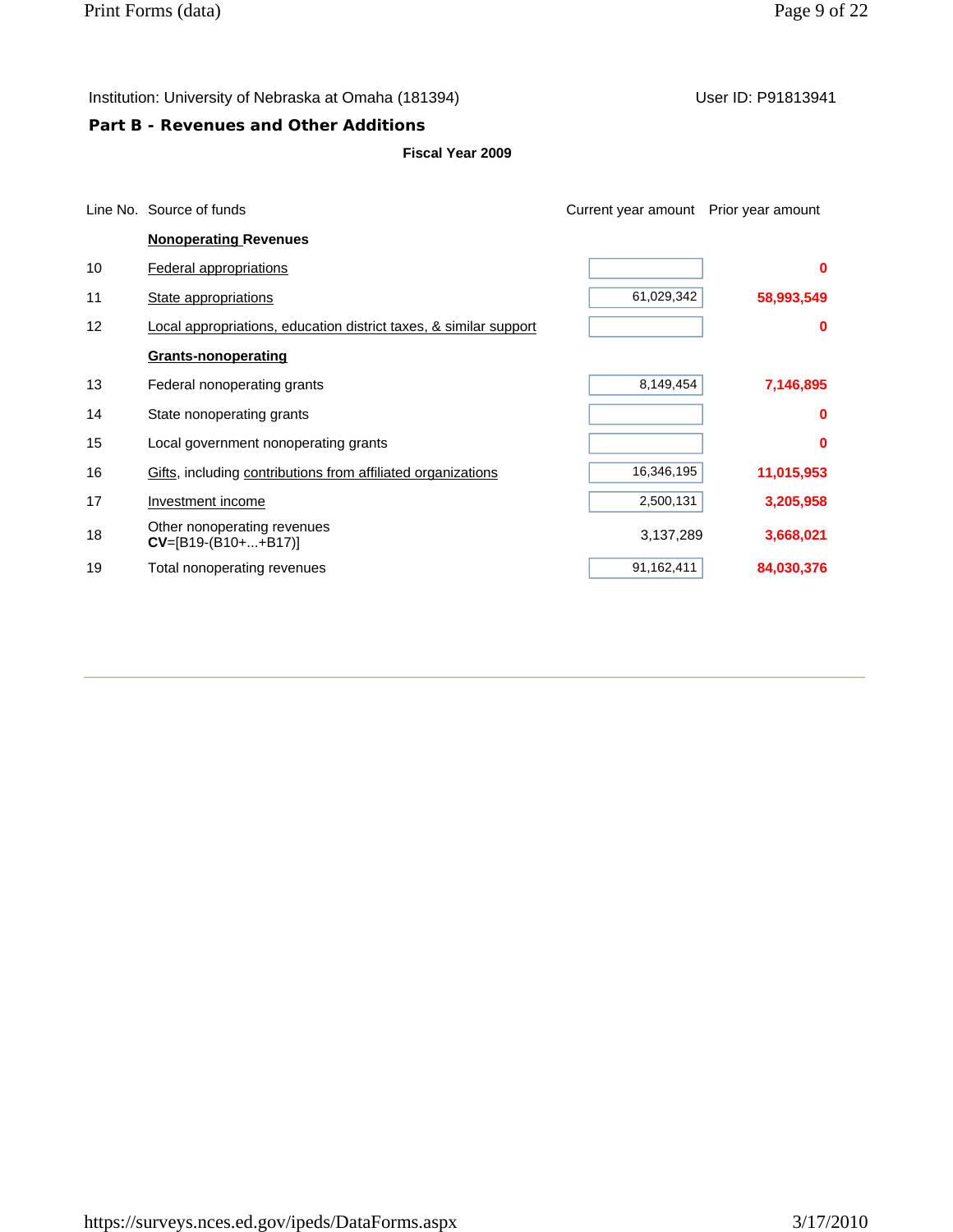# **Part B - Revenues and Other Additions**

**Fiscal Year 2009**

|    | Line No. Source of funds                                          | Current year amount Prior year amount |              |
|----|-------------------------------------------------------------------|---------------------------------------|--------------|
|    | <b>Nonoperating Revenues</b>                                      |                                       |              |
| 10 | <b>Federal appropriations</b>                                     |                                       | $\mathbf 0$  |
| 11 | State appropriations                                              | 61,029,342                            | 58,993,549   |
| 12 | Local appropriations, education district taxes, & similar support |                                       | $\bf{0}$     |
|    | <b>Grants-nonoperating</b>                                        |                                       |              |
| 13 | Federal nonoperating grants                                       | 8,149,454                             | 7,146,895    |
| 14 | State nonoperating grants                                         |                                       | $\bf{0}$     |
| 15 | Local government nonoperating grants                              |                                       | $\mathbf{0}$ |
| 16 | Gifts, including contributions from affiliated organizations      | 16,346,195                            | 11,015,953   |
| 17 | Investment income                                                 | 2,500,131                             | 3,205,958    |
| 18 | Other nonoperating revenues<br>$CV=[B19-(B10++B17)]$              | 3,137,289                             | 3,668,021    |
| 19 | Total nonoperating revenues                                       | 91,162,411                            | 84,030,376   |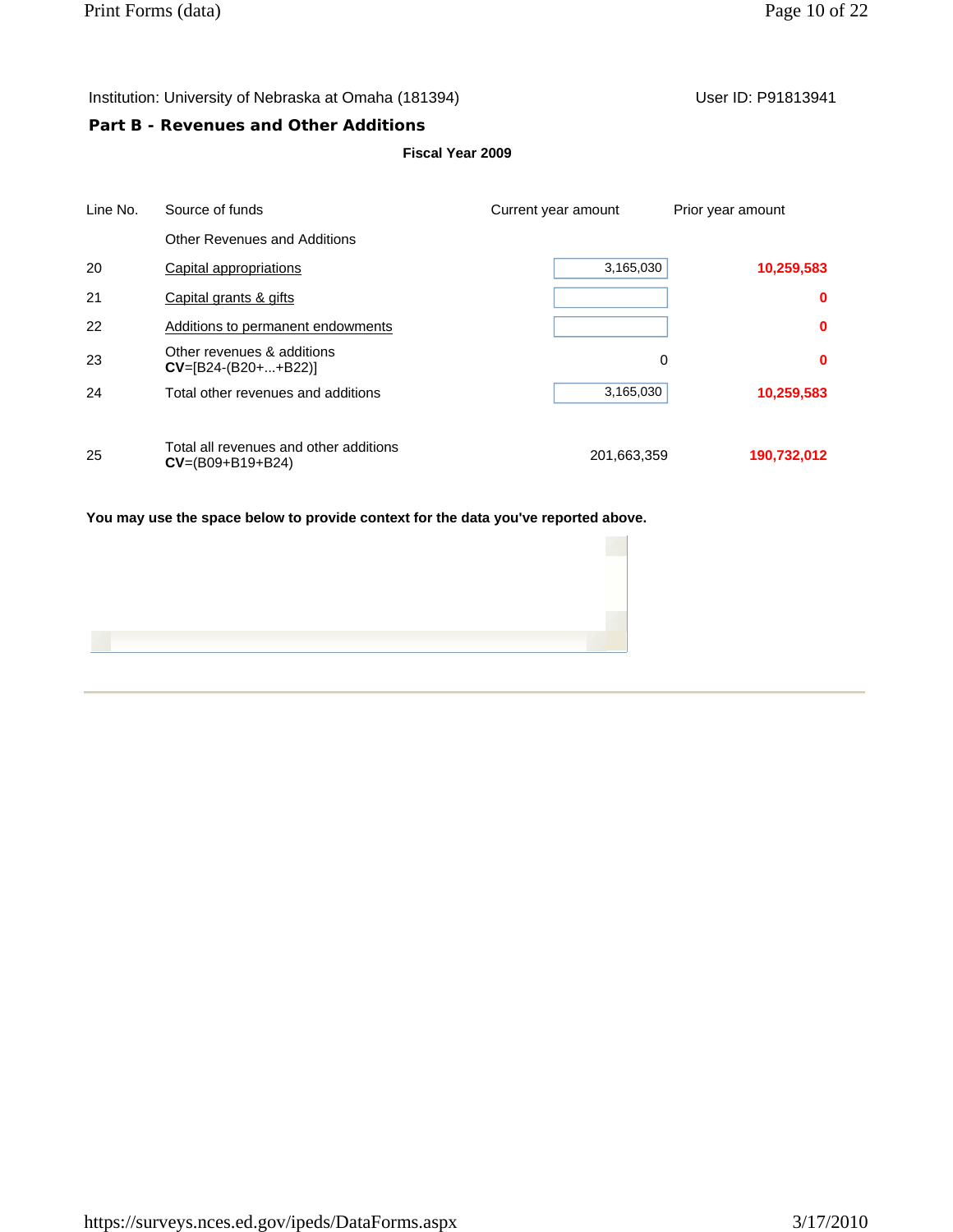### **Part B - Revenues and Other Additions**

**Fiscal Year 2009**

| Line No. | Source of funds                                              | Current year amount | Prior year amount |
|----------|--------------------------------------------------------------|---------------------|-------------------|
|          | Other Revenues and Additions                                 |                     |                   |
| 20       | Capital appropriations                                       | 3,165,030           | 10,259,583        |
| 21       | Capital grants & gifts                                       |                     | $\bf{0}$          |
| 22       | Additions to permanent endowments                            |                     | $\mathbf{0}$      |
| 23       | Other revenues & additions<br>$CV=[B24-(B20++B22)]$          |                     | 0<br>$\bf{0}$     |
| 24       | Total other revenues and additions                           | 3,165,030           | 10,259,583        |
|          |                                                              |                     |                   |
| 25       | Total all revenues and other additions<br>$CV=(B09+B19+B24)$ | 201,663,359         | 190,732,012       |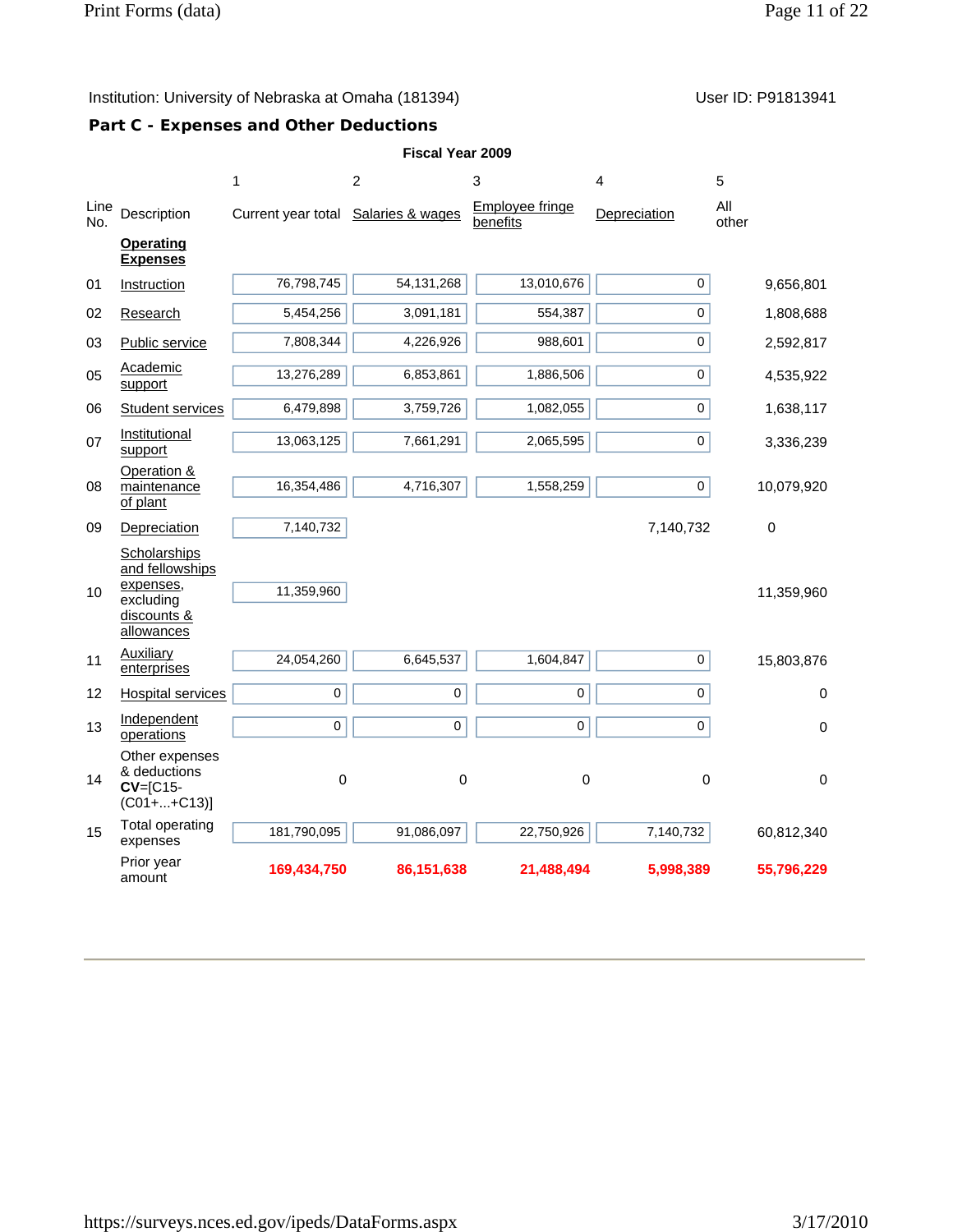# **Part C - Expenses and Other Deductions**

|             | Fiscal Year 2009                                                 |                    |                  |                             |                         |              |  |
|-------------|------------------------------------------------------------------|--------------------|------------------|-----------------------------|-------------------------|--------------|--|
|             |                                                                  | 1                  | $\overline{2}$   | 3                           | $\overline{\mathbf{4}}$ | 5            |  |
| Line<br>No. | Description                                                      | Current year total | Salaries & wages | Employee fringe<br>benefits | Depreciation            | All<br>other |  |
|             | <b>Operating</b><br><b>Expenses</b>                              |                    |                  |                             |                         |              |  |
| 01          | Instruction                                                      | 76,798,745         | 54, 131, 268     | 13,010,676                  | 0                       | 9,656,801    |  |
| 02          | Research                                                         | 5,454,256          | 3,091,181        | 554,387                     | 0                       | 1,808,688    |  |
| 03          | Public service                                                   | 7,808,344          | 4,226,926        | 988,601                     | 0                       | 2,592,817    |  |
| 05          | Academic<br>support                                              | 13,276,289         | 6,853,861        | 1,886,506                   | 0                       | 4,535,922    |  |
| 06          | Student services                                                 | 6,479,898          | 3,759,726        | 1,082,055                   | 0                       | 1,638,117    |  |
| 07          | Institutional<br>support                                         | 13,063,125         | 7,661,291        | 2,065,595                   | $\boldsymbol{0}$        | 3,336,239    |  |
| 08          | Operation &<br>maintenance<br>of plant                           | 16,354,486         | 4,716,307        | 1,558,259                   | 0                       | 10,079,920   |  |
| 09          | Depreciation                                                     | 7,140,732          |                  |                             | 7,140,732               | $\mathbf 0$  |  |
|             | <b>Scholarships</b><br>and fellowships                           |                    |                  |                             |                         |              |  |
| 10          | expenses,<br>excluding                                           | 11,359,960         |                  |                             |                         | 11,359,960   |  |
|             | discounts &<br>allowances                                        |                    |                  |                             |                         |              |  |
| 11          | <b>Auxiliary</b><br>enterprises                                  | 24,054,260         | 6,645,537        | 1,604,847                   | 0                       | 15,803,876   |  |
| 12          | <b>Hospital services</b>                                         | $\mathbf 0$        | $\mathbf 0$      | 0                           | 0                       | 0            |  |
| 13          | Independent<br>operations                                        | $\mathbf 0$        | 0                | 0                           | $\mathbf 0$             | $\mathbf 0$  |  |
| 14          | Other expenses<br>& deductions<br>$CV=[C15-$<br>$(C01 +  + C13)$ | $\mathbf 0$        | $\mathbf 0$      | 0                           | 0                       | $\mathbf 0$  |  |
| 15          | <b>Total operating</b><br>expenses                               | 181,790,095        | 91,086,097       | 22,750,926                  | 7,140,732               | 60,812,340   |  |
|             | Prior year<br>amount                                             | 169,434,750        | 86,151,638       | 21,488,494                  | 5,998,389               | 55,796,229   |  |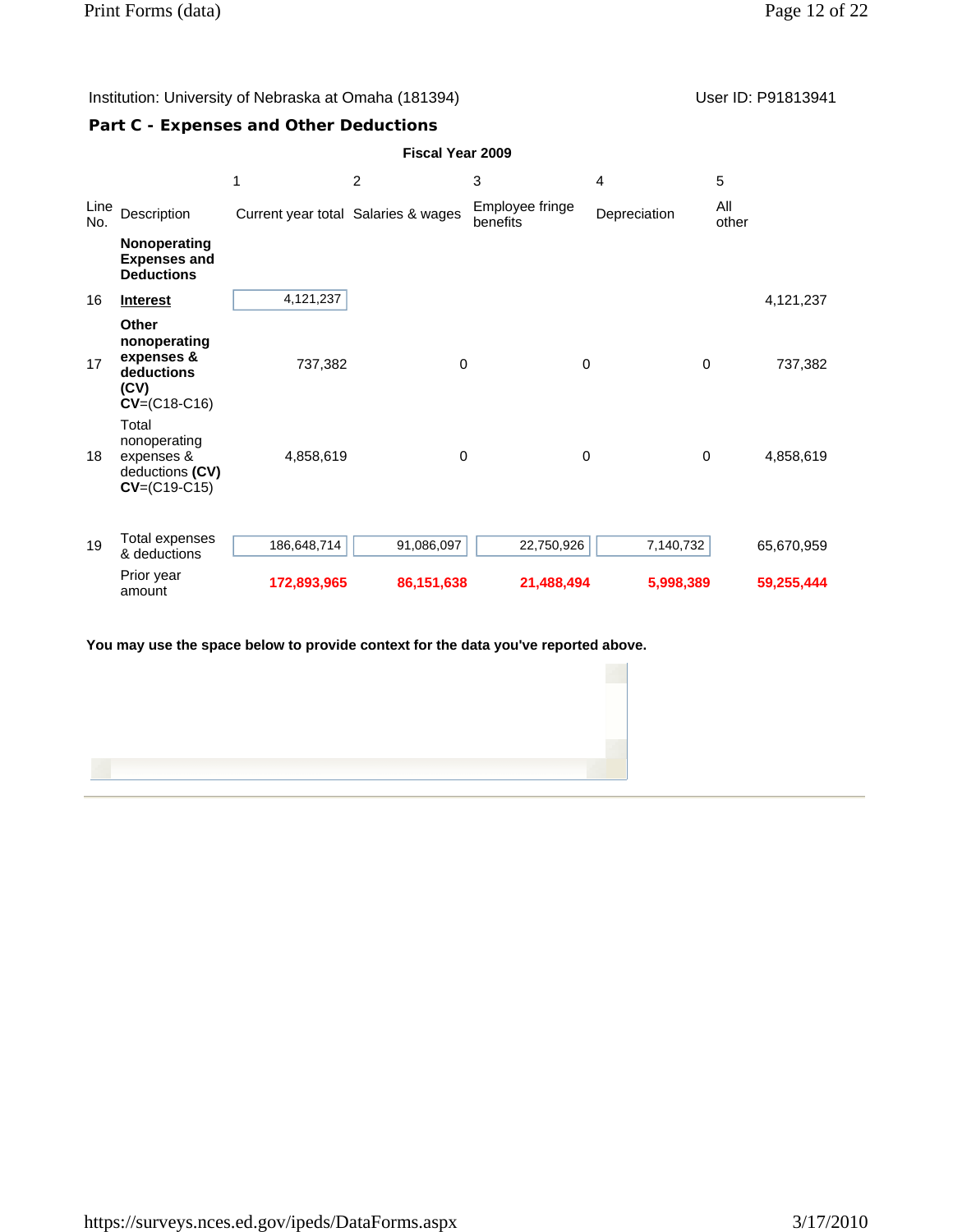# **Part C - Expenses and Other Deductions**

|             |                                                                                    |                                     | Fiscal Year 2009 |                             |                        |              |
|-------------|------------------------------------------------------------------------------------|-------------------------------------|------------------|-----------------------------|------------------------|--------------|
|             |                                                                                    | 1                                   | $\overline{2}$   | 3                           | $\overline{4}$         | 5            |
| Line<br>No. | Description                                                                        | Current year total Salaries & wages |                  | Employee fringe<br>benefits | Depreciation           | All<br>other |
|             | Nonoperating<br><b>Expenses and</b><br><b>Deductions</b>                           |                                     |                  |                             |                        |              |
| 16          | <b>Interest</b>                                                                    | 4,121,237                           |                  |                             |                        | 4,121,237    |
| 17          | <b>Other</b><br>nonoperating<br>expenses &<br>deductions<br>(CV)<br>$CV=(C18-C16)$ | 737,382                             | $\mathbf 0$      |                             | 0<br>$\mathbf 0$       | 737,382      |
| 18          | Total<br>nonoperating<br>expenses &<br>deductions (CV)<br>$CV=(C19-C15)$           | 4,858,619                           | 0                |                             | $\pmb{0}$<br>$\pmb{0}$ | 4,858,619    |
| 19          | Total expenses<br>& deductions                                                     | 186,648,714                         | 91,086,097       | 22,750,926                  | 7,140,732              | 65,670,959   |
|             | Prior year<br>amount                                                               | 172,893,965                         | 86,151,638       | 21,488,494                  | 5,998,389              | 59,255,444   |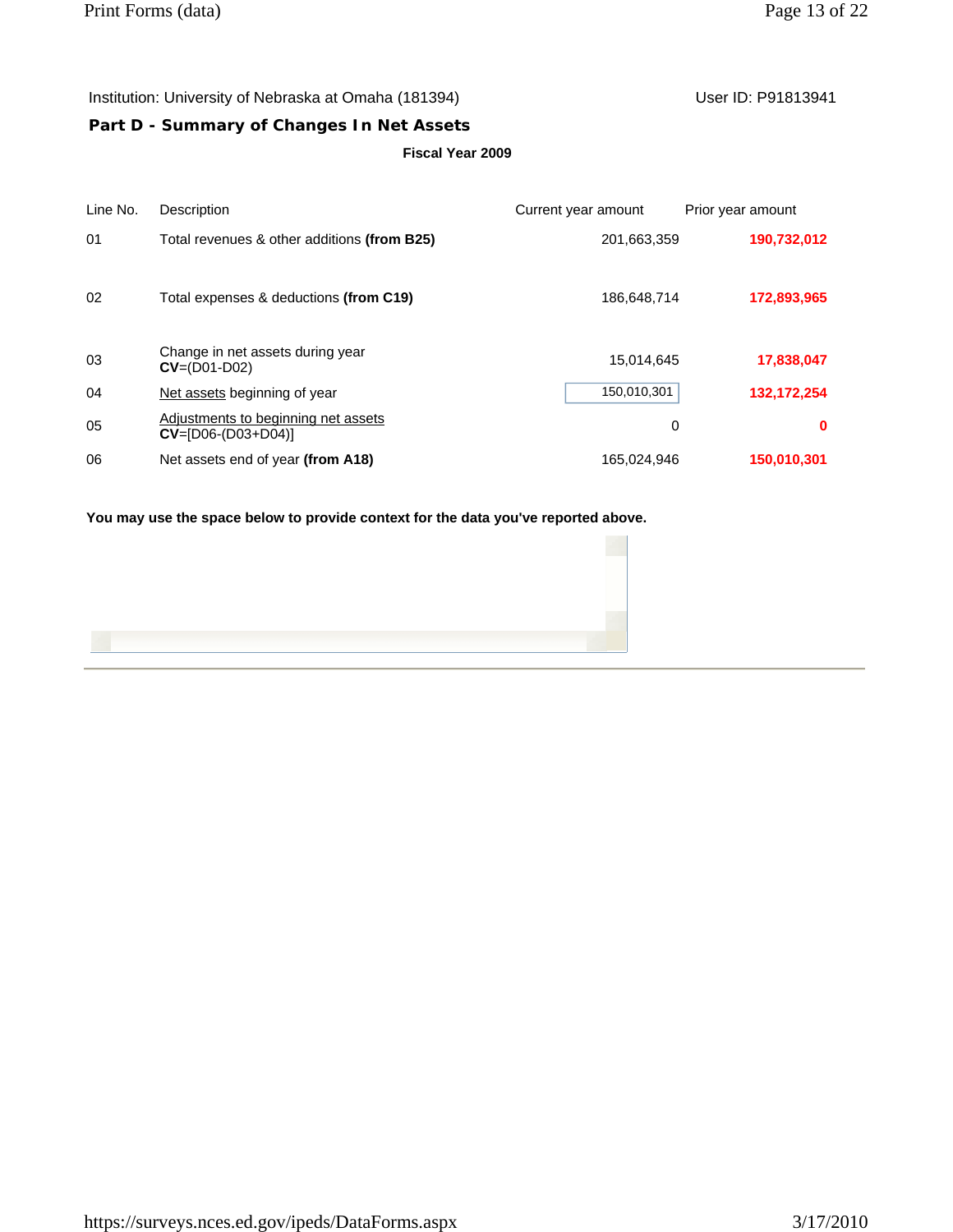### **Part D - Summary of Changes In Net Assets**

**Fiscal Year 2009**

| Line No. | Description                                                 | Current year amount | Prior year amount |
|----------|-------------------------------------------------------------|---------------------|-------------------|
| 01       | Total revenues & other additions (from B25)                 | 201,663,359         | 190,732,012       |
| 02       | Total expenses & deductions (from C19)                      | 186,648,714         | 172,893,965       |
| 03       | Change in net assets during year<br>$CV=(D01-D02)$          | 15.014.645          | 17,838,047        |
| 04       | Net assets beginning of year                                | 150,010,301         | 132,172,254       |
| 05       | Adjustments to beginning net assets<br>$CV=[D06-(D03+D04)]$ | 0                   | 0                 |
| 06       | Net assets end of year (from A18)                           | 165,024,946         | 150,010,301       |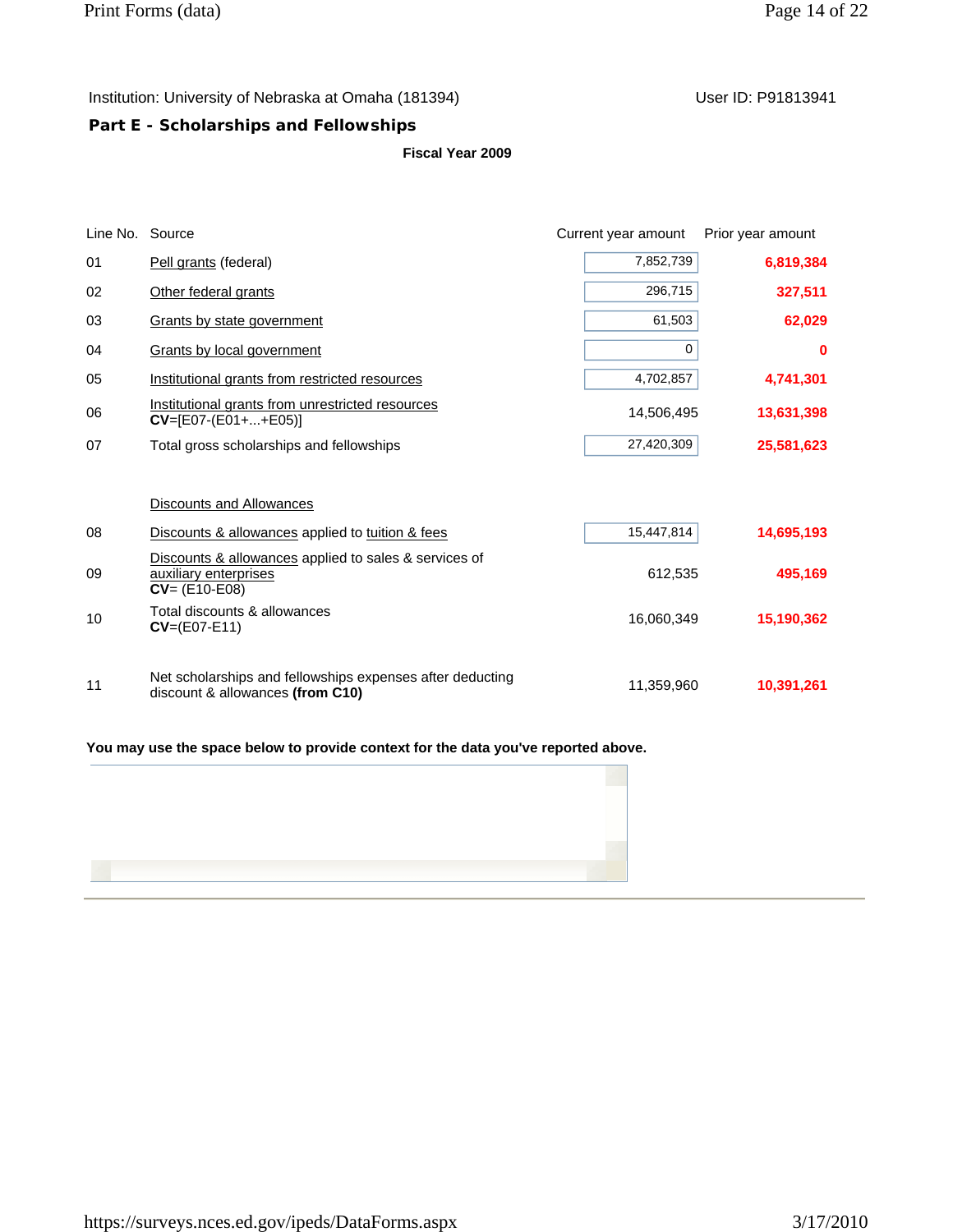# **Part E - Scholarships and Fellowships**

**Fiscal Year 2009**

| Line No. Source |                                                                                                    | Current year amount | Prior year amount |
|-----------------|----------------------------------------------------------------------------------------------------|---------------------|-------------------|
| 01              | Pell grants (federal)                                                                              | 7,852,739           | 6,819,384         |
| 02              | Other federal grants                                                                               | 296,715             | 327,511           |
| 03              | Grants by state government                                                                         | 61,503              | 62,029            |
| 04              | Grants by local government                                                                         | 0                   | $\mathbf 0$       |
| 05              | Institutional grants from restricted resources                                                     | 4,702,857           | 4,741,301         |
| 06              | Institutional grants from unrestricted resources<br>$CV=[E07-(E01++E05)]$                          | 14,506,495          | 13,631,398        |
| 07              | Total gross scholarships and fellowships                                                           | 27,420,309          | 25,581,623        |
|                 |                                                                                                    |                     |                   |
|                 | Discounts and Allowances                                                                           |                     |                   |
| 08              | Discounts & allowances applied to tuition & fees                                                   | 15,447,814          | 14,695,193        |
| 09              | Discounts & allowances applied to sales & services of<br>auxiliary enterprises<br>$CV = (E10-E08)$ | 612,535             | 495,169           |
| 10              | Total discounts & allowances<br>$CV=(E07-E11)$                                                     | 16,060,349          | 15,190,362        |
| 11              | Net scholarships and fellowships expenses after deducting<br>discount & allowances (from C10)      | 11,359,960          | 10,391,261        |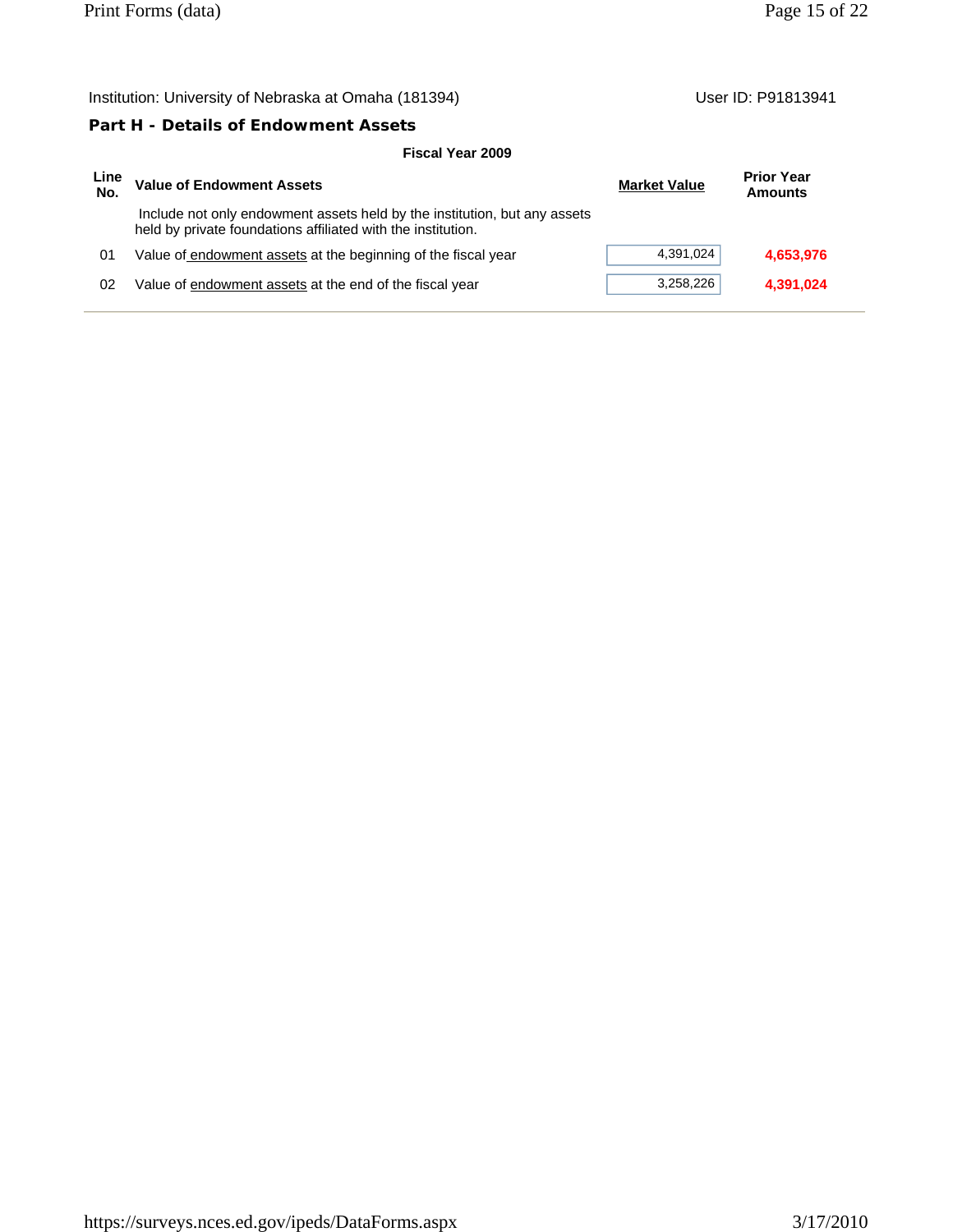Institution: University of Nebraska at Omaha (181394) User ID: P91813941 **Part H - Details of Endowment Assets Fiscal Year 2009 Line No. Value of Endowment Assets Market Value Prior Year Amounts**

|    | Include not only endowment assets held by the institution, but any assets<br>held by private foundations affiliated with the institution. |           |           |
|----|-------------------------------------------------------------------------------------------------------------------------------------------|-----------|-----------|
| 01 | Value of endowment assets at the beginning of the fiscal year                                                                             | 4,391,024 | 4.653.976 |
| 02 | Value of endowment assets at the end of the fiscal year                                                                                   | 3,258,226 | 4.391.024 |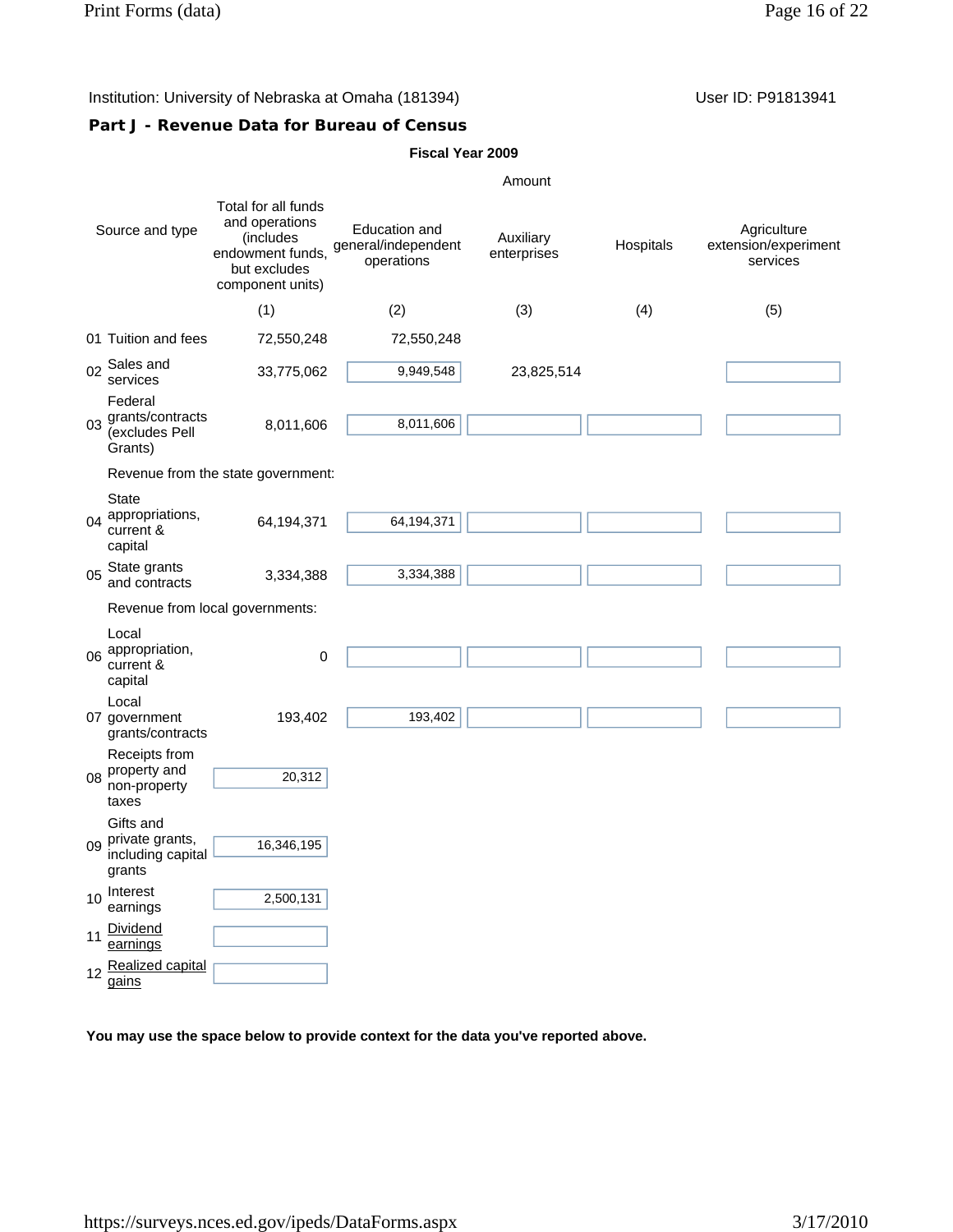# **Part J - Revenue Data for Bureau of Census**

|    |                                                             |                                                                                                            |                                                           | Amount                   |           |                                                 |
|----|-------------------------------------------------------------|------------------------------------------------------------------------------------------------------------|-----------------------------------------------------------|--------------------------|-----------|-------------------------------------------------|
|    | Source and type                                             | Total for all funds<br>and operations<br>(includes<br>endowment funds,<br>but excludes<br>component units) | <b>Education and</b><br>general/independent<br>operations | Auxiliary<br>enterprises | Hospitals | Agriculture<br>extension/experiment<br>services |
|    |                                                             | (1)                                                                                                        | (2)                                                       | (3)                      | (4)       | (5)                                             |
|    | 01 Tuition and fees                                         | 72,550,248                                                                                                 | 72,550,248                                                |                          |           |                                                 |
| 02 | Sales and<br>services                                       | 33,775,062                                                                                                 | 9,949,548                                                 | 23,825,514               |           |                                                 |
| 03 | Federal<br>grants/contracts<br>(excludes Pell<br>Grants)    | 8,011,606                                                                                                  | 8,011,606                                                 |                          |           |                                                 |
|    |                                                             | Revenue from the state government:                                                                         |                                                           |                          |           |                                                 |
| 04 | <b>State</b><br>appropriations,<br>current &<br>capital     | 64,194,371                                                                                                 | 64,194,371                                                |                          |           |                                                 |
| 05 | State grants<br>and contracts                               | 3,334,388                                                                                                  | 3,334,388                                                 |                          |           |                                                 |
|    |                                                             | Revenue from local governments:                                                                            |                                                           |                          |           |                                                 |
| 06 | Local<br>appropriation,<br>current &<br>capital             | 0                                                                                                          |                                                           |                          |           |                                                 |
|    | Local<br>07 government<br>grants/contracts                  | 193,402                                                                                                    | 193,402                                                   |                          |           |                                                 |
| 08 | Receipts from<br>property and<br>non-property<br>taxes      | 20,312                                                                                                     |                                                           |                          |           |                                                 |
| 09 | Gifts and<br>private grants,<br>including capital<br>grants | 16,346,195                                                                                                 |                                                           |                          |           |                                                 |
| 10 | Interest<br>earnings                                        | 2,500,131                                                                                                  |                                                           |                          |           |                                                 |
| 11 | Dividend<br>earnings                                        |                                                                                                            |                                                           |                          |           |                                                 |
|    | 12 Realized capital                                         |                                                                                                            |                                                           |                          |           |                                                 |

**Fiscal Year 2009**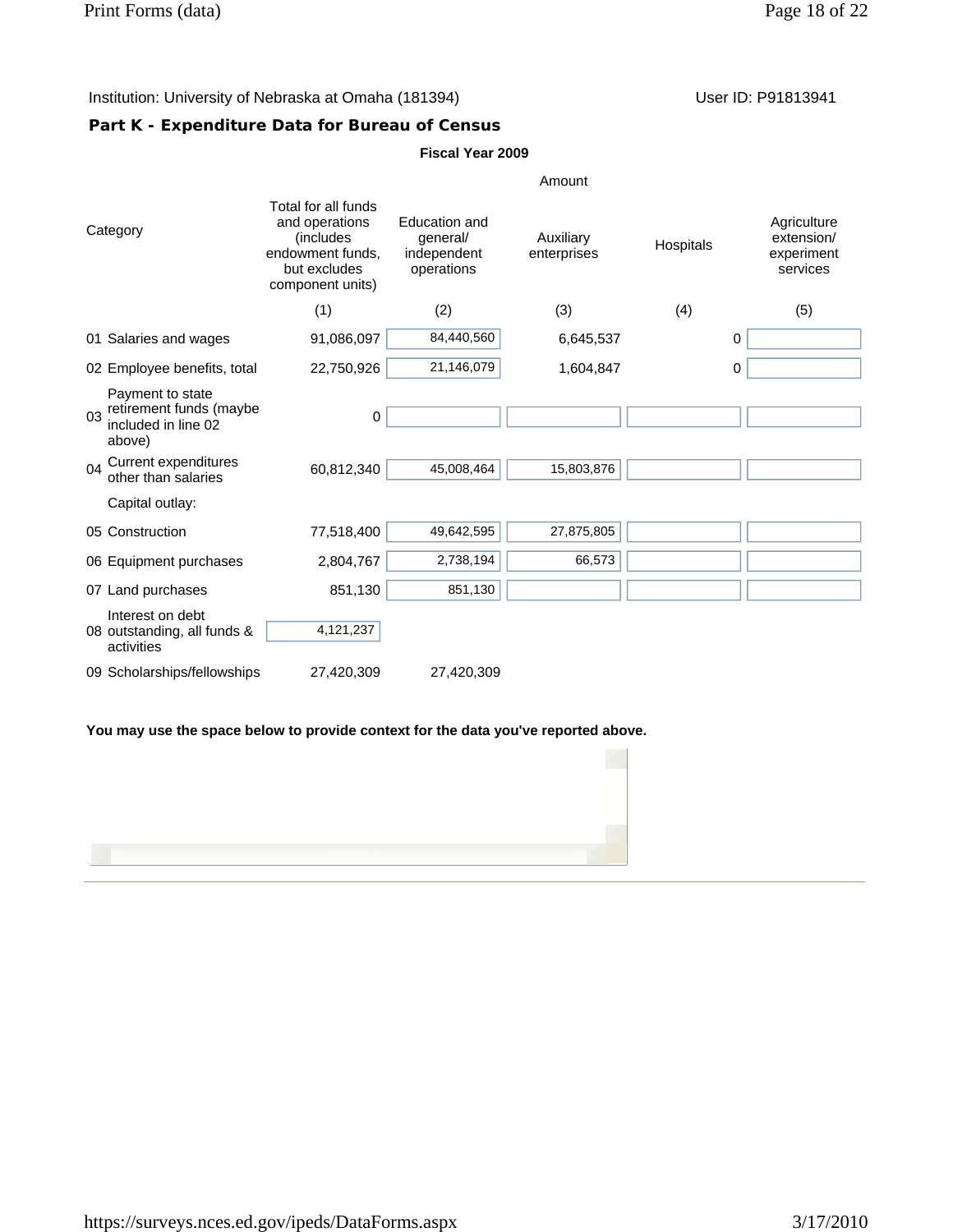#### **Part K - Expenditure Data for Bureau of Census**

#### **Fiscal Year 2009**

|    |                                                                                 |                                                                                                             |                                                        | Amount                   |           |                                                     |
|----|---------------------------------------------------------------------------------|-------------------------------------------------------------------------------------------------------------|--------------------------------------------------------|--------------------------|-----------|-----------------------------------------------------|
|    | Category                                                                        | Total for all funds<br>and operations<br>(includes)<br>endowment funds,<br>but excludes<br>component units) | Education and<br>general/<br>independent<br>operations | Auxiliary<br>enterprises | Hospitals | Agriculture<br>extension/<br>experiment<br>services |
|    |                                                                                 | (1)                                                                                                         | (2)                                                    | (3)                      | (4)       | (5)                                                 |
|    | 01 Salaries and wages                                                           | 91,086,097                                                                                                  | 84,440,560                                             | 6,645,537                | 0         |                                                     |
|    | 02 Employee benefits, total                                                     | 22,750,926                                                                                                  | 21,146,079                                             | 1,604,847                | 0         |                                                     |
|    | Payment to state<br>03 retirement funds (maybe<br>included in line 02<br>above) | 0                                                                                                           |                                                        |                          |           |                                                     |
| 04 | Current expenditures<br>other than salaries                                     | 60,812,340                                                                                                  | 45,008,464                                             | 15,803,876               |           |                                                     |
|    | Capital outlay:                                                                 |                                                                                                             |                                                        |                          |           |                                                     |
|    | 05 Construction                                                                 | 77,518,400                                                                                                  | 49,642,595                                             | 27,875,805               |           |                                                     |
|    | 06 Equipment purchases                                                          | 2,804,767                                                                                                   | 2,738,194                                              | 66,573                   |           |                                                     |
|    | 07 Land purchases                                                               | 851,130                                                                                                     | 851,130                                                |                          |           |                                                     |
|    | Interest on debt<br>08 outstanding, all funds &<br>activities                   | 4,121,237                                                                                                   |                                                        |                          |           |                                                     |
|    | 09 Scholarships/fellowships                                                     | 27,420,309                                                                                                  | 27,420,309                                             |                          |           |                                                     |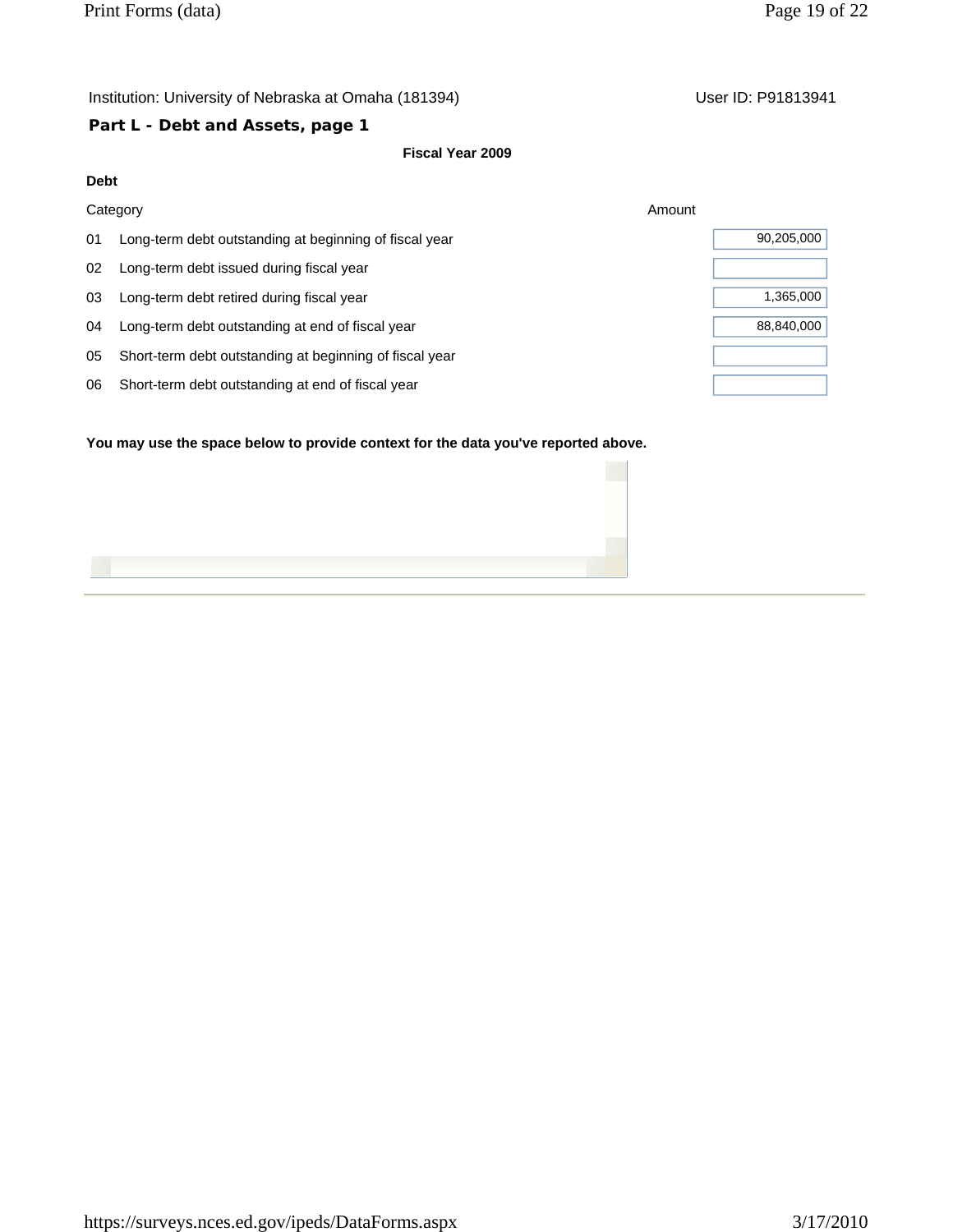# **Part L - Debt and Assets, page 1**

#### **Fiscal Year 2009**

#### **Debt**

| Category |                                                         | Amount     |
|----------|---------------------------------------------------------|------------|
| 01       | Long-term debt outstanding at beginning of fiscal year  | 90,205,000 |
| 02       | Long-term debt issued during fiscal year                |            |
| 03       | Long-term debt retired during fiscal year               | 1,365,000  |
| 04       | Long-term debt outstanding at end of fiscal year        | 88,840,000 |
| 05       | Short-term debt outstanding at beginning of fiscal year |            |
| 06       | Short-term debt outstanding at end of fiscal year       |            |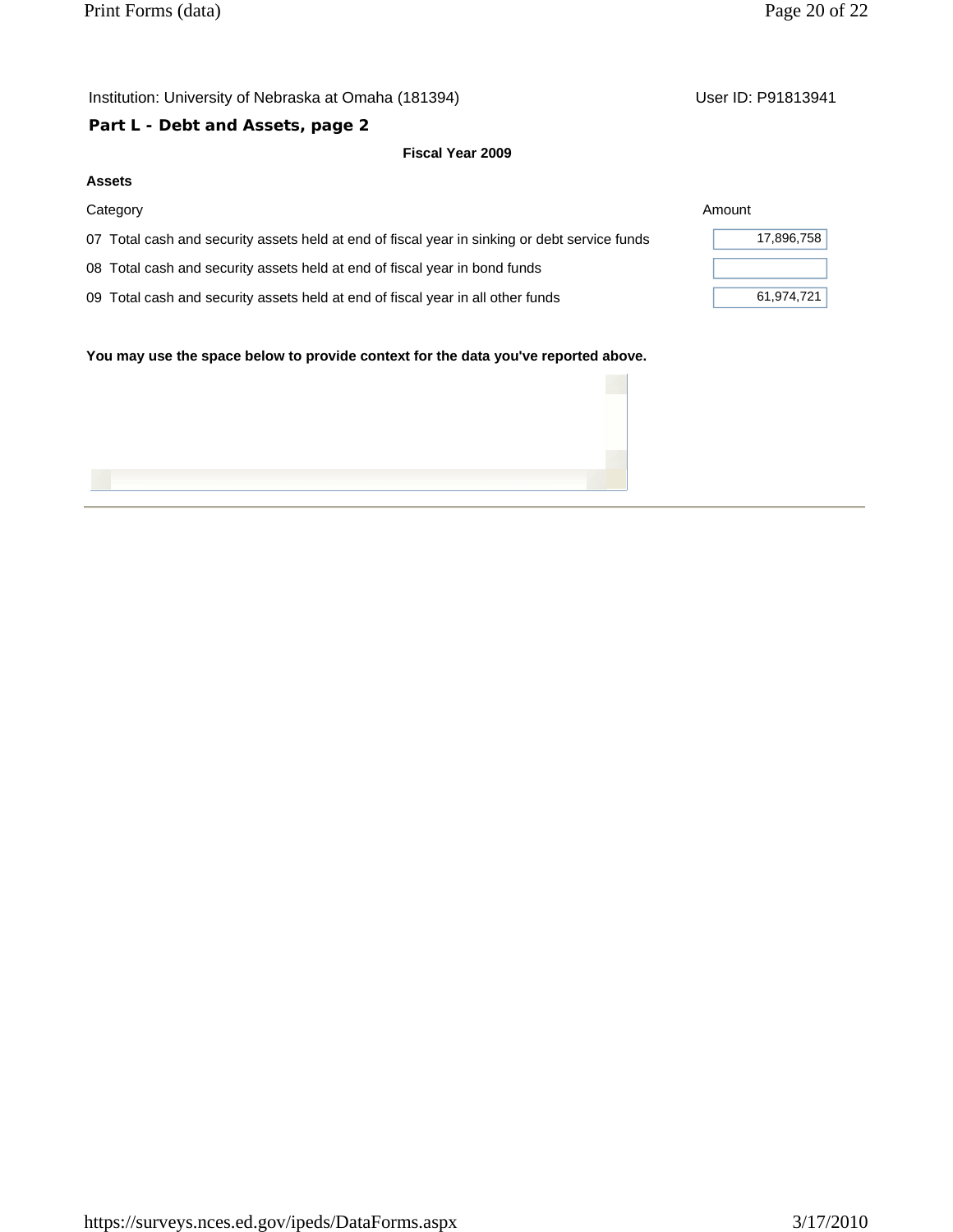# **Part L - Debt and Assets, page 2**

#### **Fiscal Year 2009**

#### **Assets**

| Category                                                                                      | Amount     |
|-----------------------------------------------------------------------------------------------|------------|
| 07 Total cash and security assets held at end of fiscal year in sinking or debt service funds | 17,896,758 |
| 08 Total cash and security assets held at end of fiscal year in bond funds                    |            |
| 09 Total cash and security assets held at end of fiscal year in all other funds               | 61,974,721 |

#### **You may use the space below to provide context for the data you've reported above.**

and in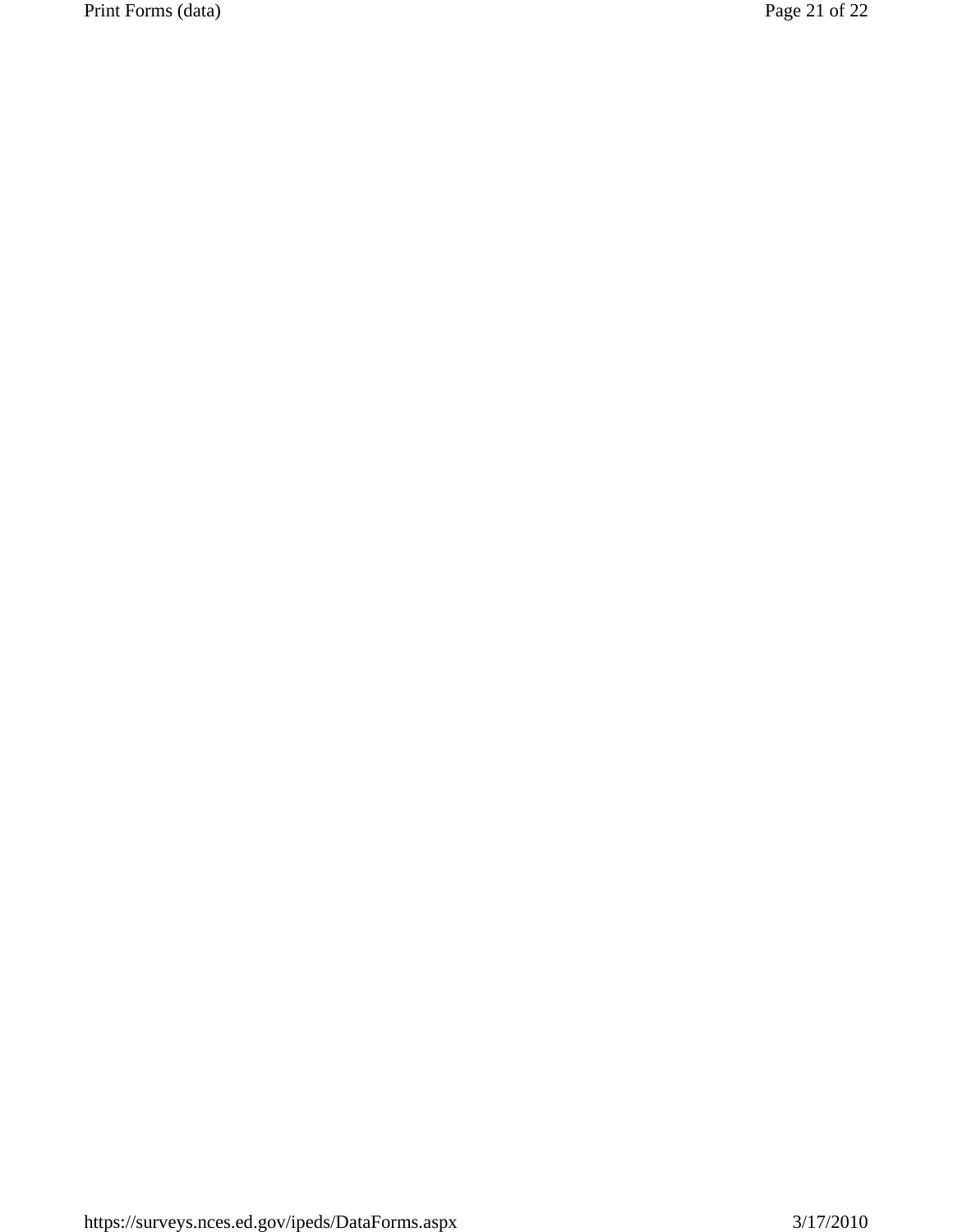Print Forms (data) Page 21 of 22